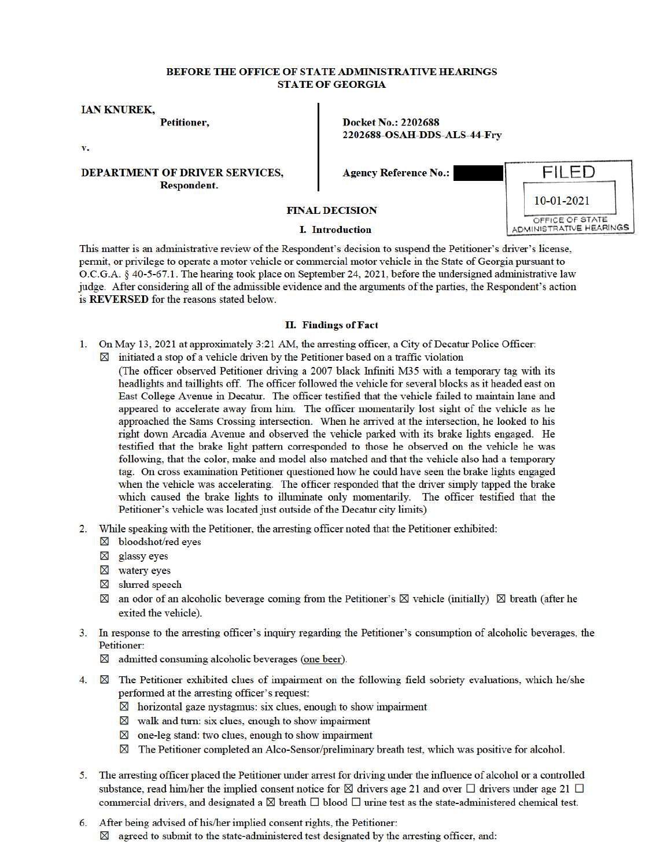## BEFORE THE OFFICE OF STATE ADMINISTRATIVE HEARINGS **STATE OF GEORGIA**

**IAN KNUREK,** 

**Petitioner,** 

v.

**DEPARTMENT OF DRIVER SERVICES, Respondent.** 

**Docket No.: 2202688** 2202688-OSAH-DDS-ALS-44-Fry

**Agency Reference No.:** 

**FINAL DECISION** 

## **I.** Introduction

This matter is an administrative review of the Respondent's decision to suspend the Petitioner's driver's license, permit, or privilege to operate a motor vehicle or commercial motor vehicle in the State of Georgia pursuant to O.C.G.A. § 40-5-67.1. The hearing took place on September 24, 2021, before the undersigned administrative law judge. After considering all of the admissible evidence and the arguments of the parties, the Respondent's action is **REVERSED** for the reasons stated below.

## **II. Findings of Fact**

- 1. On May 13, 2021 at approximately 3:21 AM, the arresting officer, a City of Decatur Police Officer:
	- $\boxtimes$  initiated a stop of a vehicle driven by the Petitioner based on a traffic violation (The officer observed Petitioner driving a 2007 black Infiniti M35 with a temporary tag with its headlights and taillights off. The officer followed the vehicle for several blocks as it headed east on East College Avenue in Decatur. The officer testified that the vehicle failed to maintain lane and appeared to accelerate away from him. The officer momentarily lost sight of the vehicle as he approached the Sams Crossing intersection. When he arrived at the intersection, he looked to his right down Arcadia Avenue and observed the vehicle parked with its brake lights engaged. He testified that the brake light pattern corresponded to those he observed on the vehicle he was following, that the color, make and model also matched and that the vehicle also had a temporary tag. On cross examination Petitioner questioned how he could have seen the brake lights engaged when the vehicle was accelerating. The officer responded that the driver simply tapped the brake which caused the brake lights to illuminate only momentarily. The officer testified that the Petitioner's vehicle was located just outside of the Decatur city limits)
- 2. While speaking with the Petitioner, the arresting officer noted that the Petitioner exhibited:
	- ⊠ bloodshot/red eyes
	- $\boxtimes$  glassy eyes
	- $\boxtimes$  watery eyes
	- $\boxtimes$  slurred speech
	- $\boxtimes$  an odor of an alcoholic beverage coming from the Petitioner's  $\boxtimes$  vehicle (initially)  $\boxtimes$  breath (after he exited the vehicle).
- 3. In response to the arresting officer's inquiry regarding the Petitioner's consumption of alcoholic beverages, the Petitioner:
	- $\boxtimes$  admitted consuming alcoholic beverages (one beer).
- 4.  $\boxtimes$  The Petitioner exhibited clues of impairment on the following field sobriety evaluations, which he/she performed at the arresting officer's request:
	- $\boxtimes$  horizontal gaze nystagmus: six clues, enough to show impairment
	- $\boxtimes$  walk and turn: six clues, enough to show impairment
	- $\boxtimes$  one-leg stand: two clues, enough to show impairment
	- $\boxtimes$  The Petitioner completed an Alco-Sensor/preliminary breath test, which was positive for alcohol.
- 5. The arresting officer placed the Petitioner under arrest for driving under the influence of alcohol or a controlled substance, read him/her the implied consent notice for  $\boxtimes$  drivers age 21 and over  $\Box$  drivers under age 21  $\Box$ commercial drivers, and designated a  $\boxtimes$  breath  $\Box$  blood  $\Box$  urine test as the state-administered chemical test.
- 6. After being advised of his/her implied consent rights, the Petitioner:  $\boxtimes$  agreed to submit to the state-administered test designated by the arresting officer, and:

| 10-01-2021                                 |  |  |
|--------------------------------------------|--|--|
| OFFICE OF STATE<br>ADMINISTRATIVE HEARINGS |  |  |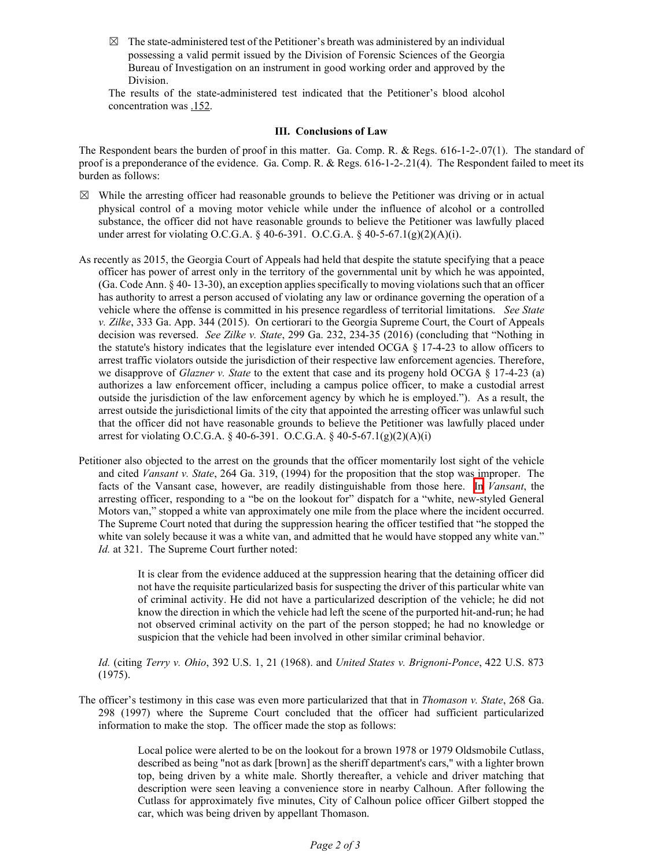$\boxtimes$  The state-administered test of the Petitioner's breath was administered by an individual possessing a valid permit issued by the Division of Forensic Sciences of the Georgia Bureau of Investigation on an instrument in good working order and approved by the Division.

The results of the state-administered test indicated that the Petitioner's blood alcohol concentration was .152.

## **III. Conclusions of Law**

The Respondent bears the burden of proof in this matter. Ga. Comp. R. & Regs. 616-1-2-.07(1). The standard of proof is a preponderance of the evidence. Ga. Comp. R. & Regs. 616-1-2-.21(4). The Respondent failed to meet its burden as follows:

- $\boxtimes$  While the arresting officer had reasonable grounds to believe the Petitioner was driving or in actual physical control of a moving motor vehicle while under the influence of alcohol or a controlled substance, the officer did not have reasonable grounds to believe the Petitioner was lawfully placed under arrest for violating O.C.G.A.  $\S$  40-6-391. O.C.G.A.  $\S$  40-5-67.1(g)(2)(A)(i).
- As recently as 2015, the Georgia Court of Appeals had held that despite the statute specifying that a peace officer has power of arrest only in the territory of the governmental unit by which he was appointed, (Ga. Code Ann. § 40- 13-30), an exception applies specifically to moving violations such that an officer has authority to arrest a person accused of violating any law or ordinance governing the operation of a vehicle where the offense is committed in his presence regardless of territorial limitations. *See State v. Zilke*, 333 Ga. App. 344 (2015). On certiorari to the Georgia Supreme Court, the Court of Appeals decision was reversed. *See Zilke v. State*, 299 Ga. 232, 234-35 (2016) (concluding that "Nothing in the statute's history indicates that the legislature ever intended OCGA § 17-4-23 to allow officers to arrest traffic violators outside the jurisdiction of their respective law enforcement agencies. Therefore, we disapprove of *Glazner v. State* to the extent that case and its progeny hold OCGA § 17-4-23 (a) authorizes a law enforcement officer, including a campus police officer, to make a custodial arrest outside the jurisdiction of the law enforcement agency by which he is employed."). As a result, the arrest outside the jurisdictional limits of the city that appointed the arresting officer was unlawful such that the officer did not have reasonable grounds to believe the Petitioner was lawfully placed under arrest for violating O.C.G.A. § 40-6-391. O.C.G.A. § 40-5-67.1(g)(2)(A)(i)
- Petitioner also objected to the arrest on the grounds that the officer momentarily lost sight of the vehicle and cited *Vansant v. State*, 264 Ga. 319, (1994) for the proposition that the stop was improper. The facts of the Vansant case, however, are readily distinguishable from those here. In *Vansant*, the arresting officer, responding to a "be on the lookout for" dispatch for a "white, new-styled General Motors van," stopped a white van approximately one mile from the place where the incident occurred. The Supreme Court noted that during the suppression hearing the officer testified that "he stopped the white van solely because it was a white van, and admitted that he would have stopped any white van." *Id.* at 321. The Supreme Court further noted:

It is clear from the evidence adduced at the suppression hearing that the detaining officer did not have the requisite particularized basis for suspecting the driver of this particular white van of criminal activity. He did not have a particularized description of the vehicle; he did not know the direction in which the vehicle had left the scene of the purported hit-and-run; he had not observed criminal activity on the part of the person stopped; he had no knowledge or suspicion that the vehicle had been involved in other similar criminal behavior.

*Id.* (citing *Terry v. Ohio*, 392 U.S. 1, 21 (1968). and *United States v. Brignoni-Ponce*, 422 U.S. 873 (1975).

The officer's testimony in this case was even more particularized that that in *Thomason v. State*, 268 Ga. 298 (1997) where the Supreme Court concluded that the officer had sufficient particularized information to make the stop. The officer made the stop as follows:

> Local police were alerted to be on the lookout for a brown 1978 or 1979 Oldsmobile Cutlass, described as being "not as dark [brown] as the sheriff department's cars," with a lighter brown top, being driven by a white male. Shortly thereafter, a vehicle and driver matching that description were seen leaving a convenience store in nearby Calhoun. After following the Cutlass for approximately five minutes, City of Calhoun police officer Gilbert stopped the car, which was being driven by appellant Thomason.